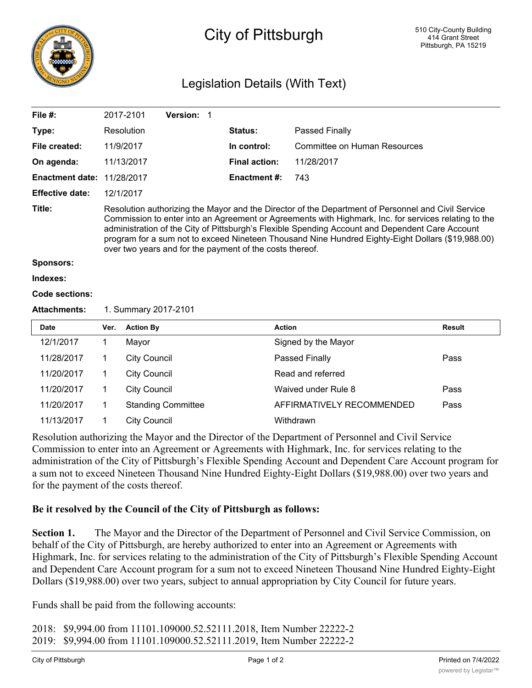

## City of Pittsburgh

## Legislation Details (With Text)

| File $#$ :             |                                                                                                                                                                                                                                                                                                                                                                                                                                                                                | 2017-2101                 | Version: 1 |  |                      |                              |               |
|------------------------|--------------------------------------------------------------------------------------------------------------------------------------------------------------------------------------------------------------------------------------------------------------------------------------------------------------------------------------------------------------------------------------------------------------------------------------------------------------------------------|---------------------------|------------|--|----------------------|------------------------------|---------------|
| Type:                  |                                                                                                                                                                                                                                                                                                                                                                                                                                                                                | Resolution                |            |  | Status:              | Passed Finally               |               |
| File created:          |                                                                                                                                                                                                                                                                                                                                                                                                                                                                                | 11/9/2017                 |            |  | In control:          | Committee on Human Resources |               |
| On agenda:             | 11/13/2017                                                                                                                                                                                                                                                                                                                                                                                                                                                                     |                           |            |  | <b>Final action:</b> | 11/28/2017                   |               |
| <b>Enactment date:</b> | 11/28/2017                                                                                                                                                                                                                                                                                                                                                                                                                                                                     |                           |            |  | <b>Enactment#:</b>   | 743                          |               |
| <b>Effective date:</b> | 12/1/2017                                                                                                                                                                                                                                                                                                                                                                                                                                                                      |                           |            |  |                      |                              |               |
| Title:                 | Resolution authorizing the Mayor and the Director of the Department of Personnel and Civil Service<br>Commission to enter into an Agreement or Agreements with Highmark, Inc. for services relating to the<br>administration of the City of Pittsburgh's Flexible Spending Account and Dependent Care Account<br>program for a sum not to exceed Nineteen Thousand Nine Hundred Eighty-Eight Dollars (\$19,988.00)<br>over two years and for the payment of the costs thereof. |                           |            |  |                      |                              |               |
| <b>Sponsors:</b>       |                                                                                                                                                                                                                                                                                                                                                                                                                                                                                |                           |            |  |                      |                              |               |
| Indexes:               |                                                                                                                                                                                                                                                                                                                                                                                                                                                                                |                           |            |  |                      |                              |               |
| <b>Code sections:</b>  |                                                                                                                                                                                                                                                                                                                                                                                                                                                                                |                           |            |  |                      |                              |               |
| <b>Attachments:</b>    | 1. Summary 2017-2101                                                                                                                                                                                                                                                                                                                                                                                                                                                           |                           |            |  |                      |                              |               |
| <b>Date</b>            | Ver.                                                                                                                                                                                                                                                                                                                                                                                                                                                                           | <b>Action By</b>          |            |  | <b>Action</b>        |                              | <b>Result</b> |
| 12/1/2017              | $\mathbf 1$                                                                                                                                                                                                                                                                                                                                                                                                                                                                    | Mayor                     |            |  |                      | Signed by the Mayor          |               |
| 11/28/2017             | $\mathbf 1$                                                                                                                                                                                                                                                                                                                                                                                                                                                                    | <b>City Council</b>       |            |  |                      | Passed Finally<br>Pass       |               |
| 11/20/2017             | 1                                                                                                                                                                                                                                                                                                                                                                                                                                                                              | <b>City Council</b>       |            |  | Read and referred    |                              |               |
| 11/20/2017             | 1                                                                                                                                                                                                                                                                                                                                                                                                                                                                              | <b>City Council</b>       |            |  |                      | Waived under Rule 8          | Pass          |
| 11/20/2017             | $\mathbf 1$                                                                                                                                                                                                                                                                                                                                                                                                                                                                    | <b>Standing Committee</b> |            |  |                      | AFFIRMATIVELY RECOMMENDED    | Pass          |
| 11/13/2017             | 1                                                                                                                                                                                                                                                                                                                                                                                                                                                                              | <b>City Council</b>       |            |  |                      | Withdrawn                    |               |

Resolution authorizing the Mayor and the Director of the Department of Personnel and Civil Service Commission to enter into an Agreement or Agreements with Highmark, Inc. for services relating to the administration of the City of Pittsburgh's Flexible Spending Account and Dependent Care Account program for a sum not to exceed Nineteen Thousand Nine Hundred Eighty-Eight Dollars (\$19,988.00) over two years and for the payment of the costs thereof.

## **Be it resolved by the Council of the City of Pittsburgh as follows:**

**Section 1.** The Mayor and the Director of the Department of Personnel and Civil Service Commission, on behalf of the City of Pittsburgh, are hereby authorized to enter into an Agreement or Agreements with Highmark, Inc. for services relating to the administration of the City of Pittsburgh's Flexible Spending Account and Dependent Care Account program for a sum not to exceed Nineteen Thousand Nine Hundred Eighty-Eight Dollars (\$19,988.00) over two years, subject to annual appropriation by City Council for future years.

Funds shall be paid from the following accounts:

2018: \$9,994.00 from 11101.109000.52.52111.2018, Item Number 22222-2 2019: \$9,994.00 from 11101.109000.52.52111.2019, Item Number 22222-2